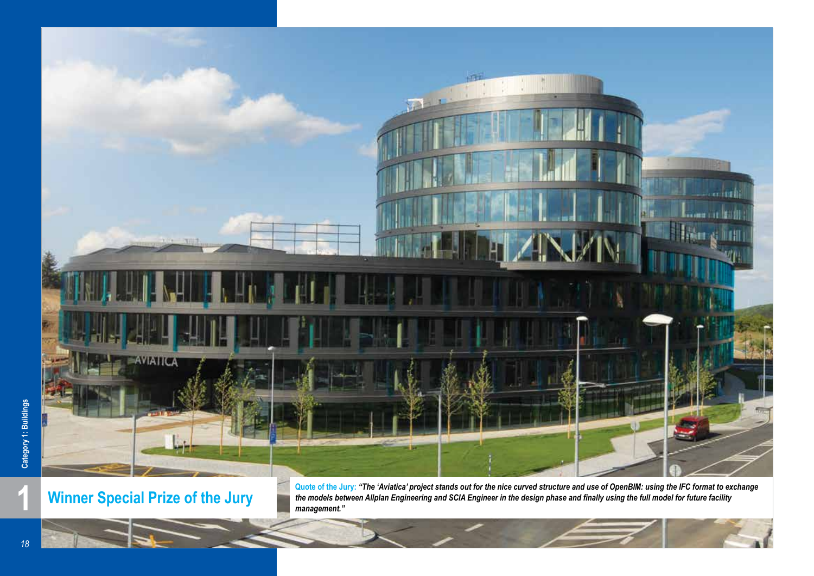

**Winner Special Prize of the Jury**

**1 1 11 <b>Winner Special Prize of the Jury** and the models between Allplan Engineering and SCIA Engineer in the design phase and finally using the full model for future facility management." *the models between Allplan Engineering and SCIA Engineer in the design phase and finally using the full model for future facility management."*